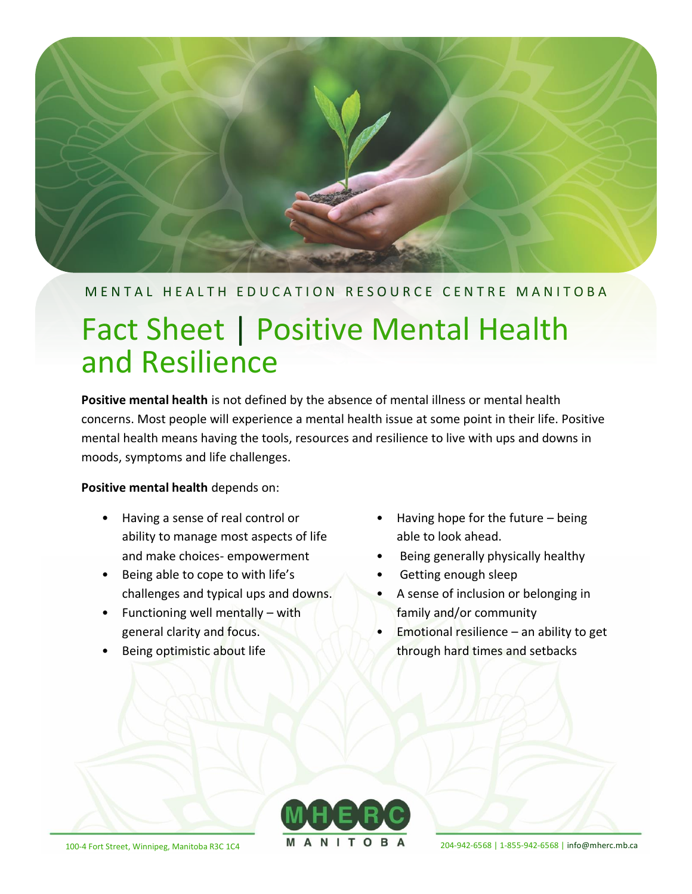

## M E N T A L H E A L T H E D U C A T I O N R E S O U R C E C E N T R EM A N I T O B A

# Fact Sheet | Positive Mental Health and Resilience

**Positive mental health** is not defined by the absence of mental illness or mental health concerns. Most people will experience a mental health issue at some point in their life. Positive mental health means having the tools, resources and resilience to live with ups and downs in moods, symptoms and life challenges.

**Positive mental health** depends on:

- Having a sense of real control or ability to manage most aspects of life and make choices- empowerment
- Being able to cope to with life's challenges and typical ups and downs.
- Functioning well mentally with general clarity and focus.
- Being optimistic about life
- Having hope for the future being able to look ahead.
- Being generally physically healthy
- Getting enough sleep
- A sense of inclusion or belonging in family and/or community
- **Emotional resilience an ability to get** through hard times and setbacks



100-4 Fort Street, Winnipeg, Manitoba R3C 1C4 **N A N I I O B A** 204-942-6568 | 1-855-942-6568 | [info@mherc.mb.ca](mailto:info@mherc.mb.ca)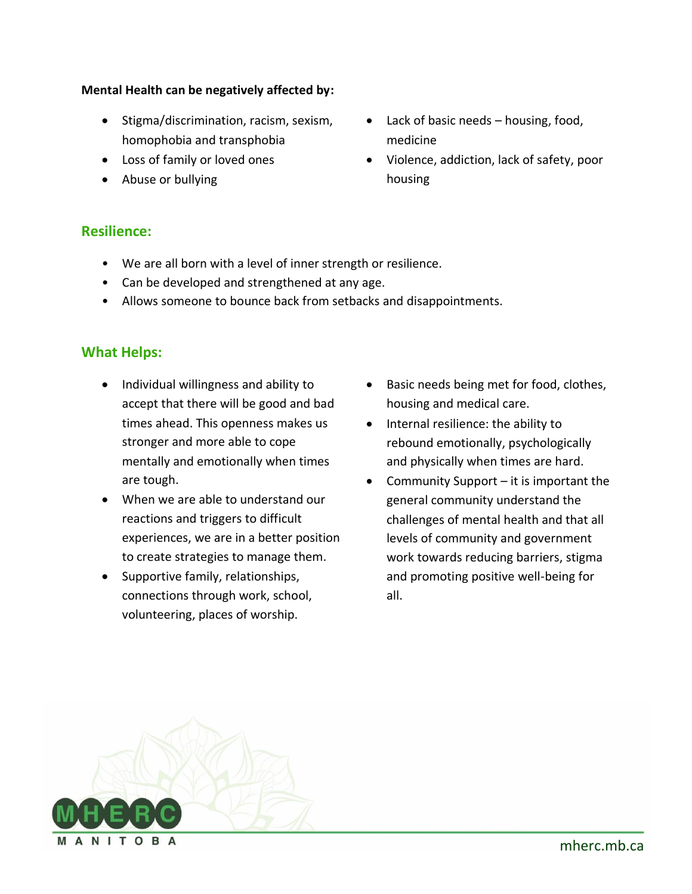#### **Mental Health can be negatively affected by:**

- Stigma/discrimination, racism, sexism, homophobia and transphobia
- Loss of family or loved ones
- Abuse or bullying
- Lack of basic needs housing, food, medicine
- Violence, addiction, lack of safety, poor housing

### **Resilience:**

- We are all born with a level of inner strength or resilience.
- Can be developed and strengthened at any age.
- Allows someone to bounce back from setbacks and disappointments.

## **What Helps:**

- Individual willingness and ability to accept that there will be good and bad times ahead. This openness makes us stronger and more able to cope mentally and emotionally when times are tough.
- When we are able to understand our reactions and triggers to difficult experiences, we are in a better position to create strategies to manage them.
- Supportive family, relationships, connections through work, school, volunteering, places of worship.
- Basic needs being met for food, clothes, housing and medical care.
- Internal resilience: the ability to rebound emotionally, psychologically and physically when times are hard.
- Community Support it is important the general community understand the challenges of mental health and that all levels of community and government work towards reducing barriers, stigma and promoting positive well-being for all.